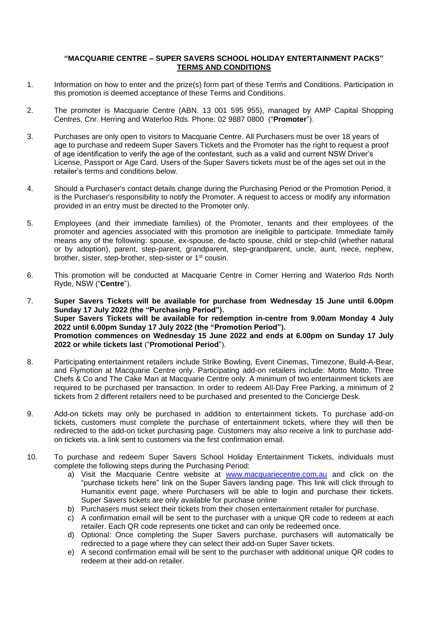### **"MACQUARIE CENTRE – SUPER SAVERS SCHOOL HOLIDAY ENTERTAINMENT PACKS" TERMS AND CONDITIONS**

- 1. Information on how to enter and the prize(s) form part of these Terms and Conditions. Participation in this promotion is deemed acceptance of these Terms and Conditions.
- 2. The promoter is Macquarie Centre (ABN. 13 001 595 955), managed by AMP Capital Shopping Centres, Cnr. Herring and Waterloo Rds. Phone: 02 9887 0800 ("**Promoter**").
- 3. Purchases are only open to visitors to Macquarie Centre. All Purchasers must be over 18 years of age to purchase and redeem Super Savers Tickets and the Promoter has the right to request a proof of age identification to verify the age of the contestant, such as a valid and current NSW Driver's License, Passport or Age Card. Users of the Super Savers tickets must be of the ages set out in the retailer's terms and conditions below.
- 4. Should a Purchaser's contact details change during the Purchasing Period or the Promotion Period, it is the Purchaser's responsibility to notify the Promoter. A request to access or modify any information provided in an entry must be directed to the Promoter only.
- 5. Employees (and their immediate families) of the Promoter, tenants and their employees of the promoter and agencies associated with this promotion are ineligible to participate. Immediate family means any of the following: spouse, ex-spouse, de-facto spouse, child or step-child (whether natural or by adoption), parent, step-parent, grandparent, step-grandparent, uncle, aunt, niece, nephew, brother, sister, step-brother, step-sister or 1st cousin.
- 6. This promotion will be conducted at Macquarie Centre in Corner Herring and Waterloo Rds North Ryde, NSW ("**Centre**").
- 7. **Super Savers Tickets will be available for purchase from Wednesday 15 June until 6.00pm Sunday 17 July 2022 (the "Purchasing Period"). Super Savers Tickets will be available for redemption in-centre from 9.00am Monday 4 July 2022 until 6.00pm Sunday 17 July 2022 (the "Promotion Period"). Promotion commences on Wednesday 15 June 2022 and ends at 6.00pm on Sunday 17 July 2022 or while tickets last** ("**Promotional Period**").
- 8. Participating entertainment retailers include Strike Bowling, Event Cinemas, Timezone, Build-A-Bear, and Flymotion at Macquarie Centre only. Participating add-on retailers include: Motto Motto, Three Chefs & Co and The Cake Man at Macquarie Centre only. A minimum of two entertainment tickets are required to be purchased per transaction. In order to redeem All-Day Free Parking, a minimum of 2 tickets from 2 different retailers need to be purchased and presented to the Concierge Desk.
- 9. Add-on tickets may only be purchased in addition to entertainment tickets. To purchase add-on tickets, customers must complete the purchase of entertainment tickets, where they will then be redirected to the add-on ticket purchasing page. Customers may also receive a link to purchase addon tickets via. a link sent to customers via the first confirmation email.
- 10. To purchase and redeem Super Savers School Holiday Entertainment Tickets, individuals must complete the following steps during the Purchasing Period:
	- a) Visit the Macquarie Centre website at [www.macquariecentre.com.au](../../www.macquariecentre.com.au) and click on the "purchase tickets here" link on the Super Savers landing page. This link will click through to Humanitix event page, where Purchasers will be able to login and purchase their tickets. Super Savers tickets are only available for purchase online
	- b) Purchasers must select their tickets from their chosen entertainment retailer for purchase.
	- c) A confirmation email will be sent to the purchaser with a unique QR code to redeem at each retailer. Each QR code represents one ticket and can only be redeemed once.
	- d) Optional: Once completing the Super Savers purchase, purchasers will automatically be redirected to a page where they can select their add-on Super Saver tickets.
	- e) A second confirmation email will be sent to the purchaser with additional unique QR codes to redeem at their add-on retailer.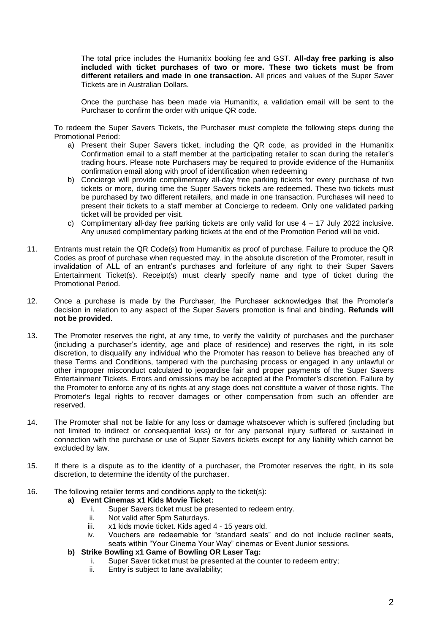The total price includes the Humanitix booking fee and GST. **All-day free parking is also included with ticket purchases of two or more. These two tickets must be from different retailers and made in one transaction.** All prices and values of the Super Saver Tickets are in Australian Dollars.

Once the purchase has been made via Humanitix, a validation email will be sent to the Purchaser to confirm the order with unique QR code.

To redeem the Super Savers Tickets, the Purchaser must complete the following steps during the Promotional Period:

- a) Present their Super Savers ticket, including the QR code, as provided in the Humanitix Confirmation email to a staff member at the participating retailer to scan during the retailer's trading hours. Please note Purchasers may be required to provide evidence of the Humanitix confirmation email along with proof of identification when redeeming
- b) Concierge will provide complimentary all-day free parking tickets for every purchase of two tickets or more, during time the Super Savers tickets are redeemed. These two tickets must be purchased by two different retailers, and made in one transaction. Purchases will need to present their tickets to a staff member at Concierge to redeem. Only one validated parking ticket will be provided per visit.
- c) Complimentary all-day free parking tickets are only valid for use 4 17 July 2022 inclusive. Any unused complimentary parking tickets at the end of the Promotion Period will be void.
- 11. Entrants must retain the QR Code(s) from Humanitix as proof of purchase. Failure to produce the QR Codes as proof of purchase when requested may, in the absolute discretion of the Promoter, result in invalidation of ALL of an entrant's purchases and forfeiture of any right to their Super Savers Entertainment Ticket(s). Receipt(s) must clearly specify name and type of ticket during the Promotional Period.
- 12. Once a purchase is made by the Purchaser, the Purchaser acknowledges that the Promoter's decision in relation to any aspect of the Super Savers promotion is final and binding. **Refunds will not be provided**.
- 13. The Promoter reserves the right, at any time, to verify the validity of purchases and the purchaser (including a purchaser's identity, age and place of residence) and reserves the right, in its sole discretion, to disqualify any individual who the Promoter has reason to believe has breached any of these Terms and Conditions, tampered with the purchasing process or engaged in any unlawful or other improper misconduct calculated to jeopardise fair and proper payments of the Super Savers Entertainment Tickets. Errors and omissions may be accepted at the Promoter's discretion. Failure by the Promoter to enforce any of its rights at any stage does not constitute a waiver of those rights. The Promoter's legal rights to recover damages or other compensation from such an offender are reserved.
- 14. The Promoter shall not be liable for any loss or damage whatsoever which is suffered (including but not limited to indirect or consequential loss) or for any personal injury suffered or sustained in connection with the purchase or use of Super Savers tickets except for any liability which cannot be excluded by law.
- 15. If there is a dispute as to the identity of a purchaser, the Promoter reserves the right, in its sole discretion, to determine the identity of the purchaser.
- 16. The following retailer terms and conditions apply to the ticket(s):

# **a) Event Cinemas x1 Kids Movie Ticket:**

- i. Super Savers ticket must be presented to redeem entry.
- ii. Not valid after 5pm Saturdays.
- iii. x1 kids movie ticket. Kids aged 4 15 years old.
- iv. Vouchers are redeemable for "standard seats" and do not include recliner seats, seats within "Your Cinema Your Way" cinemas or Event Junior sessions.

# **b) Strike Bowling x1 Game of Bowling OR Laser Tag:**

- i. Super Saver ticket must be presented at the counter to redeem entry;
- ii. Entry is subject to lane availability;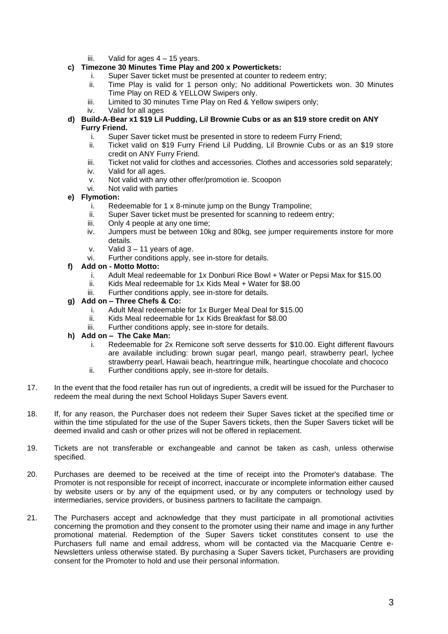iii. Valid for ages 4 – 15 years.

# **c) Timezone 30 Minutes Time Play and 200 x Powertickets:**

- i. Super Saver ticket must be presented at counter to redeem entry;
- ii. Time Play is valid for 1 person only; No additional Powertickets won. 30 Minutes Time Play on RED & YELLOW Swipers only.
- iii. Limited to 30 minutes Time Play on Red & Yellow swipers only;
- iv. Valid for all ages
- **d) Build-A-Bear x1 \$19 Lil Pudding, Lil Brownie Cubs or as an \$19 store credit on ANY Furry Friend.**
	- i. Super Saver ticket must be presented in store to redeem Furry Friend;<br>ii. Ticket valid on \$19 Furry Friend Lil Pudding. Lil Brownie Cubs or as
	- Ticket valid on \$19 Furry Friend Lil Pudding, Lil Brownie Cubs or as an \$19 store credit on ANY Furry Friend.
	- iii. Ticket not valid for clothes and accessories. Clothes and accessories sold separately;
	- iv. Valid for all ages.
	- v. Not valid with any other offer/promotion ie. Scoopon
	- vi. Not valid with parties
- **e) Flymotion:**
	- i. Redeemable for 1 x 8-minute jump on the Bungy Trampoline;
	- ii. Super Saver ticket must be presented for scanning to redeem entry;
	- iii. Only 4 people at any one time;
	- iv. Jumpers must be between 10kg and 80kg, see jumper requirements instore for more details.
	- v. Valid 3 11 years of age.
	- vi. Further conditions apply, see in-store for details.

## **f) Add on - Motto Motto:**

- i. Adult Meal redeemable for 1x Donburi Rice Bowl + Water or Pepsi Max for \$15.00
- ii. Kids Meal redeemable for 1x Kids Meal + Water for \$8.00
- iii. Further conditions apply, see in-store for details.

# **g) Add on – Three Chefs & Co:**

- i. Adult Meal redeemable for 1x Burger Meal Deal for \$15.00
- ii. Kids Meal redeemable for 1x Kids Breakfast for \$8.00
- iii. Further conditions apply, see in-store for details.

#### **h) Add on – The Cake Man:**

- i. Redeemable for 2x Remicone soft serve desserts for \$10.00. Eight different flavours are available including: brown sugar pearl, mango pearl, strawberry pearl, lychee strawberry pearl, Hawaii beach, heartringue milk, heartingue chocolate and chococo
- ii. Further conditions apply, see in-store for details.
- 17. In the event that the food retailer has run out of ingredients, a credit will be issued for the Purchaser to redeem the meal during the next School Holidays Super Savers event.
- 18. If, for any reason, the Purchaser does not redeem their Super Saves ticket at the specified time or within the time stipulated for the use of the Super Savers tickets, then the Super Savers ticket will be deemed invalid and cash or other prizes will not be offered in replacement.
- 19. Tickets are not transferable or exchangeable and cannot be taken as cash, unless otherwise specified.
- 20. Purchases are deemed to be received at the time of receipt into the Promoter's database. The Promoter is not responsible for receipt of incorrect, inaccurate or incomplete information either caused by website users or by any of the equipment used, or by any computers or technology used by intermediaries, service providers, or business partners to facilitate the campaign.
- 21. The Purchasers accept and acknowledge that they must participate in all promotional activities concerning the promotion and they consent to the promoter using their name and image in any further promotional material. Redemption of the Super Savers ticket constitutes consent to use the Purchasers full name and email address, whom will be contacted via the Macquarie Centre e-Newsletters unless otherwise stated. By purchasing a Super Savers ticket, Purchasers are providing consent for the Promoter to hold and use their personal information.